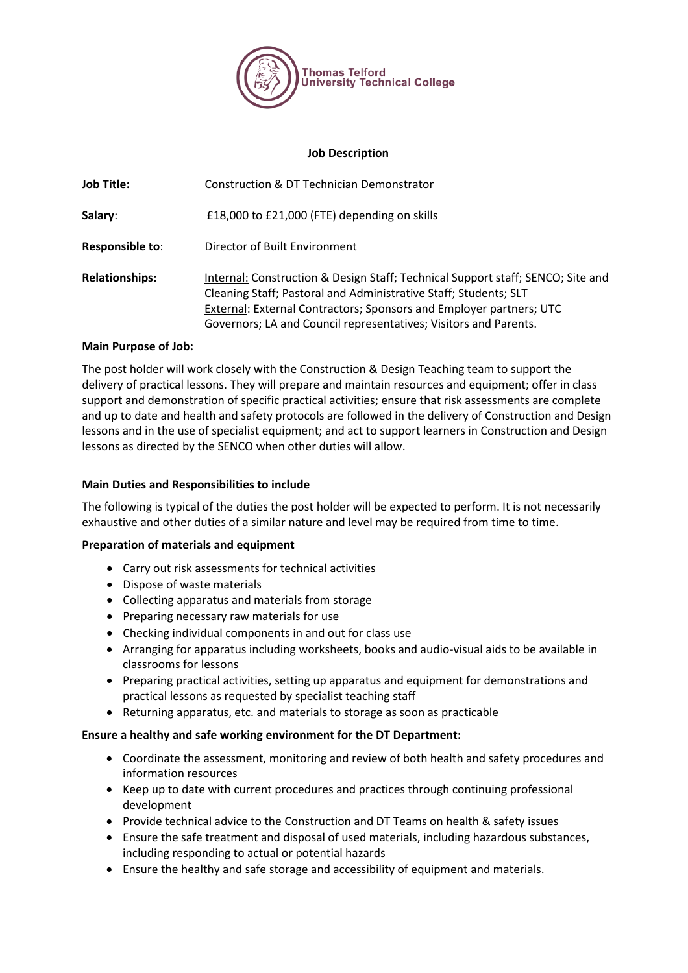

#### **Job Description**

| <b>Job Title:</b>     | Construction & DT Technician Demonstrator                                                                                                                                                                                                                                                      |
|-----------------------|------------------------------------------------------------------------------------------------------------------------------------------------------------------------------------------------------------------------------------------------------------------------------------------------|
| Salary:               | £18,000 to £21,000 (FTE) depending on skills                                                                                                                                                                                                                                                   |
| Responsible to:       | Director of Built Environment                                                                                                                                                                                                                                                                  |
| <b>Relationships:</b> | Internal: Construction & Design Staff; Technical Support staff; SENCO; Site and<br>Cleaning Staff; Pastoral and Administrative Staff; Students; SLT<br>External: External Contractors; Sponsors and Employer partners; UTC<br>Governors; LA and Council representatives; Visitors and Parents. |

#### **Main Purpose of Job:**

The post holder will work closely with the Construction & Design Teaching team to support the delivery of practical lessons. They will prepare and maintain resources and equipment; offer in class support and demonstration of specific practical activities; ensure that risk assessments are complete and up to date and health and safety protocols are followed in the delivery of Construction and Design lessons and in the use of specialist equipment; and act to support learners in Construction and Design lessons as directed by the SENCO when other duties will allow.

### **Main Duties and Responsibilities to include**

The following is typical of the duties the post holder will be expected to perform. It is not necessarily exhaustive and other duties of a similar nature and level may be required from time to time.

### **Preparation of materials and equipment**

- Carry out risk assessments for technical activities
- Dispose of waste materials
- Collecting apparatus and materials from storage
- Preparing necessary raw materials for use
- Checking individual components in and out for class use
- Arranging for apparatus including worksheets, books and audio-visual aids to be available in classrooms for lessons
- Preparing practical activities, setting up apparatus and equipment for demonstrations and practical lessons as requested by specialist teaching staff
- Returning apparatus, etc. and materials to storage as soon as practicable

### **Ensure a healthy and safe working environment for the DT Department:**

- Coordinate the assessment, monitoring and review of both health and safety procedures and information resources
- Keep up to date with current procedures and practices through continuing professional development
- Provide technical advice to the Construction and DT Teams on health & safety issues
- Ensure the safe treatment and disposal of used materials, including hazardous substances, including responding to actual or potential hazards
- Ensure the healthy and safe storage and accessibility of equipment and materials.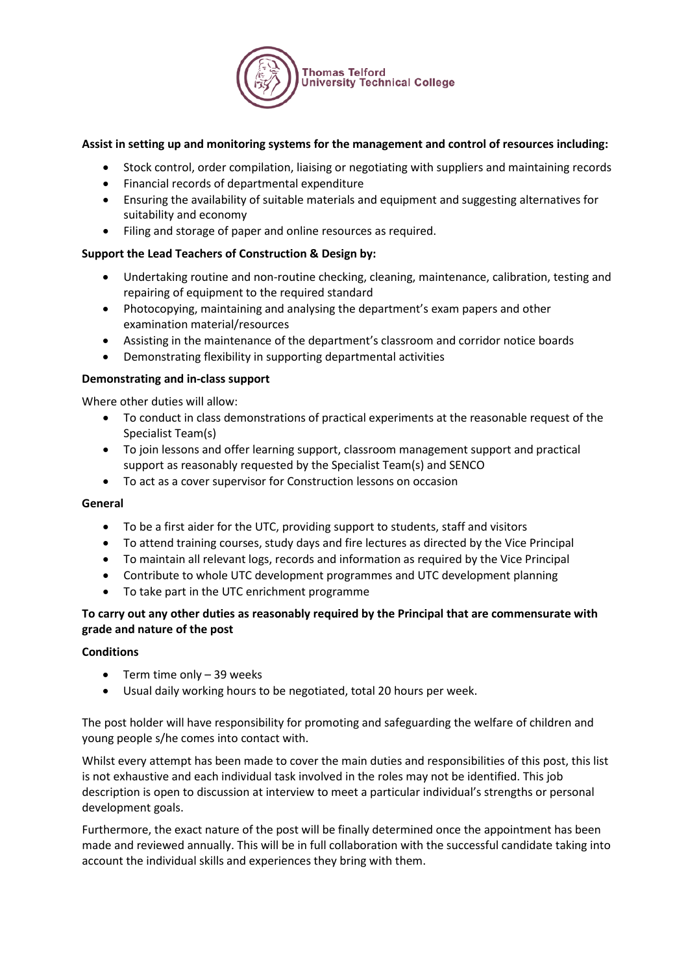

# **Assist in setting up and monitoring systems for the management and control of resources including:**

- Stock control, order compilation, liaising or negotiating with suppliers and maintaining records
- Financial records of departmental expenditure
- Ensuring the availability of suitable materials and equipment and suggesting alternatives for suitability and economy
- Filing and storage of paper and online resources as required.

### **Support the Lead Teachers of Construction & Design by:**

- Undertaking routine and non-routine checking, cleaning, maintenance, calibration, testing and repairing of equipment to the required standard
- Photocopying, maintaining and analysing the department's exam papers and other examination material/resources
- Assisting in the maintenance of the department's classroom and corridor notice boards
- Demonstrating flexibility in supporting departmental activities

### **Demonstrating and in-class support**

Where other duties will allow:

- To conduct in class demonstrations of practical experiments at the reasonable request of the Specialist Team(s)
- To join lessons and offer learning support, classroom management support and practical support as reasonably requested by the Specialist Team(s) and SENCO
- To act as a cover supervisor for Construction lessons on occasion

### **General**

- To be a first aider for the UTC, providing support to students, staff and visitors
- To attend training courses, study days and fire lectures as directed by the Vice Principal
- To maintain all relevant logs, records and information as required by the Vice Principal
- Contribute to whole UTC development programmes and UTC development planning
- To take part in the UTC enrichment programme

## **To carry out any other duties as reasonably required by the Principal that are commensurate with grade and nature of the post**

### **Conditions**

- Term time only 39 weeks
- Usual daily working hours to be negotiated, total 20 hours per week.

The post holder will have responsibility for promoting and safeguarding the welfare of children and young people s/he comes into contact with.

Whilst every attempt has been made to cover the main duties and responsibilities of this post, this list is not exhaustive and each individual task involved in the roles may not be identified. This job description is open to discussion at interview to meet a particular individual's strengths or personal development goals.

Furthermore, the exact nature of the post will be finally determined once the appointment has been made and reviewed annually. This will be in full collaboration with the successful candidate taking into account the individual skills and experiences they bring with them.